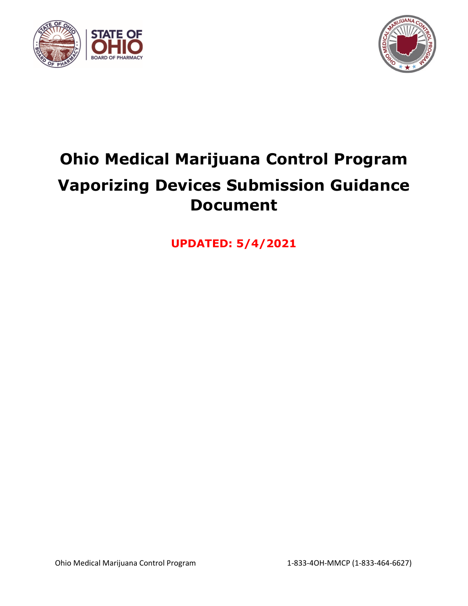



# **Ohio Medical Marijuana Control Program Vaporizing Devices Submission Guidance Document**

**UPDATED: 5/4/2021**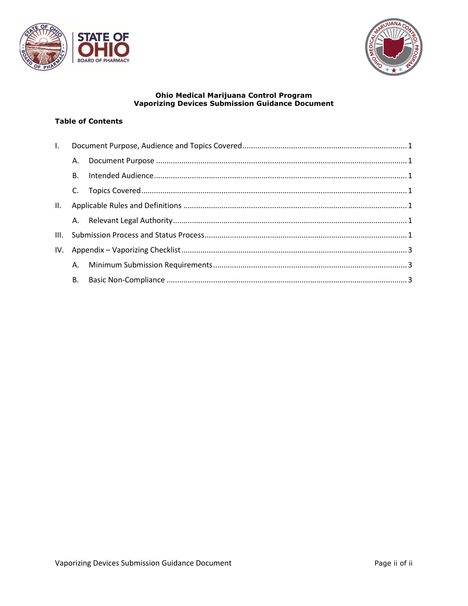



# **Ohio Medical Marijuana Control Program<br>Vaporizing Devices Submission Guidance Document**

## **Table of Contents**

| $\mathbf{L}$ |    |  |  |
|--------------|----|--|--|
|              | А. |  |  |
|              | В. |  |  |
|              |    |  |  |
| II.          |    |  |  |
|              |    |  |  |
|              |    |  |  |
|              |    |  |  |
|              |    |  |  |
|              |    |  |  |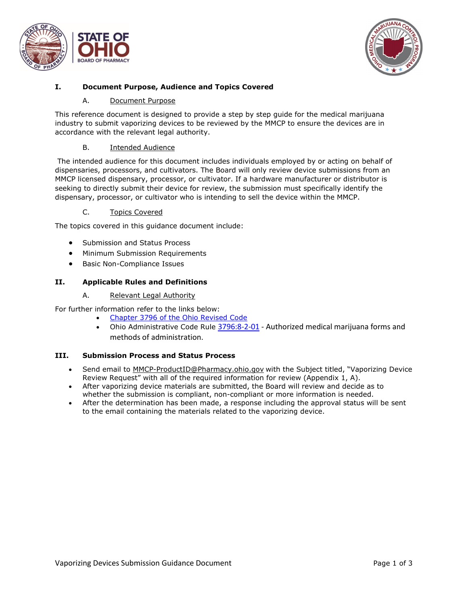



# <span id="page-2-1"></span><span id="page-2-0"></span>**I. Document Purpose, Audience and Topics Covered**

#### A. Document Purpose

This reference document is designed to provide a step by step guide for the medical marijuana industry to submit vaporizing devices to be reviewed by the MMCP to ensure the devices are in accordance with the relevant legal authority.

## B. Intended Audience

<span id="page-2-2"></span>The intended audience for this document includes individuals employed by or acting on behalf of dispensaries, processors, and cultivators. The Board will only review device submissions from an MMCP licensed dispensary, processor, or cultivator. If a hardware manufacturer or distributor is seeking to directly submit their device for review, the submission must specifically identify the dispensary, processor, or cultivator who is intending to sell the device within the MMCP.

#### C. Topics Covered

<span id="page-2-3"></span>The topics covered in this guidance document include:

- Submission and Status Process
- Minimum Submission Requirements
- Basic Non-Compliance Issues

# <span id="page-2-4"></span>**II. Applicable Rules and Definitions**

#### A. Relevant Legal Authority

<span id="page-2-5"></span>For further information refer to the links below:

- [Chapter 3796 of the Ohio Revised Code](http://codes.ohio.gov/orc/3796)
- Ohio Administrative Code Rule [3796:8-2-01](http://codes.ohio.gov/oac/3796:8-2-01) Authorized medical marijuana forms and methods of administration.

#### <span id="page-2-6"></span>**III. Submission Process and Status Process**

- Send email to [MMCP-ProductID@Pharmacy.ohio.gov](mailto:MMCP-ProductID@Pharmacy.ohio.gov) with the Subject titled, "Vaporizing Device Review Request" with all of the required information for review (Appendix 1, A).
- After vaporizing device materials are submitted, the Board will review and decide as to whether the submission is compliant, non-compliant or more information is needed.
- After the determination has been made, a response including the approval status will be sent to the email containing the materials related to the vaporizing device.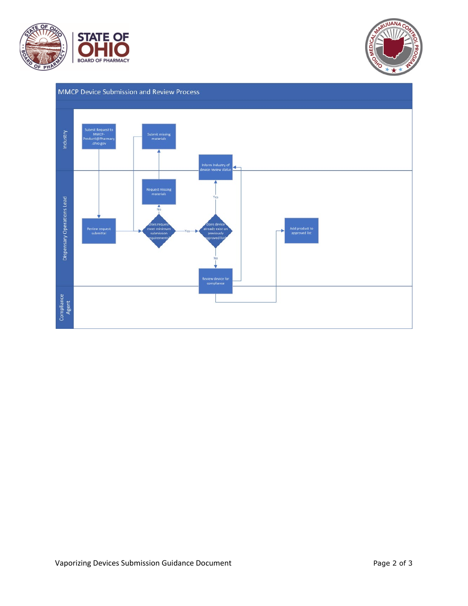